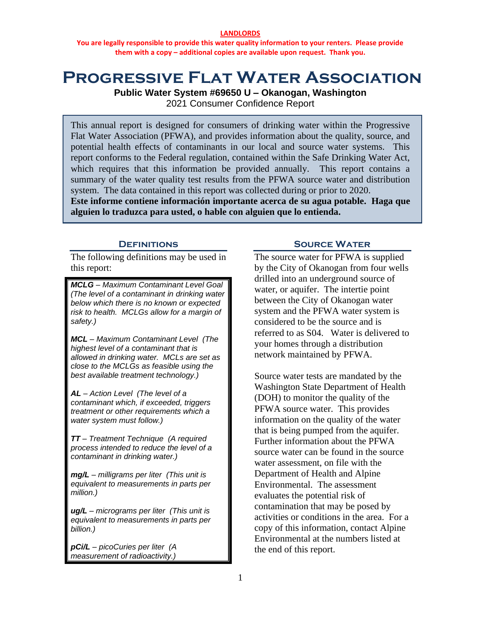#### **LANDLORDS**

**You are legally responsible to provide this water quality information to your renters. Please provide them with a copy – additional copies are available upon request. Thank you.**

# **Progressive Flat Water Association**

**Public Water System #69650 U – Okanogan, Washington**

2021 Consumer Confidence Report

This annual report is designed for consumers of drinking water within the Progressive Flat Water Association (PFWA), and provides information about the quality, source, and potential health effects of contaminants in our local and source water systems. This report conforms to the Federal regulation, contained within the Safe Drinking Water Act, which requires that this information be provided annually. This report contains a summary of the water quality test results from the PFWA source water and distribution system. The data contained in this report was collected during or prior to 2020.

**Este informe contiene información importante acerca de su agua potable. Haga que alguien lo traduzca para usted, o hable con alguien que lo entienda.**

### **DEFINITIONS**

The following definitions may be used in this report:

*MCLG – Maximum Contaminant Level Goal (The level of a contaminant in drinking water below which there is no known or expected risk to health. MCLGs allow for a margin of safety.)*

*MCL – Maximum Contaminant Level (The highest level of a contaminant that is allowed in drinking water. MCLs are set as close to the MCLGs as feasible using the best available treatment technology.)*

*AL – Action Level (The level of a contaminant which, if exceeded, triggers treatment or other requirements which a water system must follow.)*

*TT – Treatment Technique (A required process intended to reduce the level of a contaminant in drinking water.)*

*mg/L – milligrams per liter (This unit is equivalent to measurements in parts per million.)*

*ug/L – micrograms per liter (This unit is equivalent to measurements in parts per billion.)*

*pCi/L – picoCuries per liter (A measurement of radioactivity.)*

### **Source Water**

The source water for PFWA is supplied by the City of Okanogan from four wells drilled into an underground source of water, or aquifer. The intertie point between the City of Okanogan water system and the PFWA water system is considered to be the source and is referred to as S04. Water is delivered to your homes through a distribution network maintained by PFWA.

Source water tests are mandated by the Washington State Department of Health (DOH) to monitor the quality of the PFWA source water. This provides information on the quality of the water that is being pumped from the aquifer. Further information about the PFWA source water can be found in the source water assessment, on file with the Department of Health and Alpine Environmental. The assessment evaluates the potential risk of contamination that may be posed by activities or conditions in the area. For a copy of this information, contact Alpine Environmental at the numbers listed at the end of this report.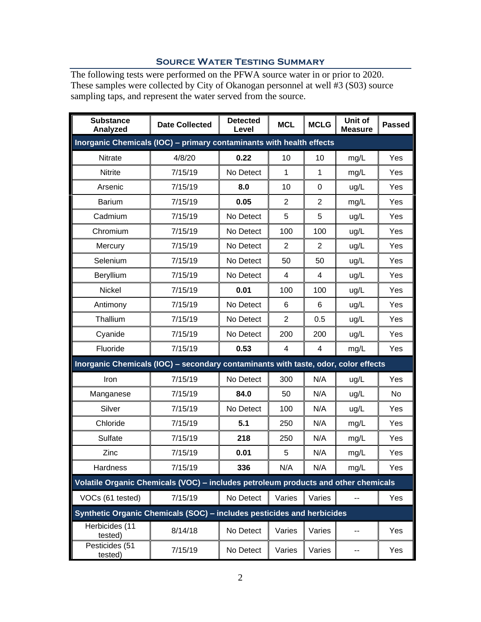# **Source Water Testing Summary**

The following tests were performed on the PFWA source water in or prior to 2020. These samples were collected by City of Okanogan personnel at well #3 (S03) source sampling taps, and represent the water served from the source.

| <b>Substance</b><br>Analyzed                                                       | <b>Date Collected</b> | <b>Detected</b><br>Level | <b>MCL</b>     | <b>MCLG</b>    | Unit of<br><b>Measure</b> | <b>Passed</b> |
|------------------------------------------------------------------------------------|-----------------------|--------------------------|----------------|----------------|---------------------------|---------------|
| Inorganic Chemicals (IOC) - primary contaminants with health effects               |                       |                          |                |                |                           |               |
| Nitrate                                                                            | 4/8/20                | 0.22                     | 10             | 10             | mg/L                      | Yes           |
| Nitrite                                                                            | 7/15/19               | No Detect                | 1              | 1              | mg/L                      | Yes           |
| Arsenic                                                                            | 7/15/19               | 8.0                      | 10             | $\pmb{0}$      | ug/L                      | Yes           |
| <b>Barium</b>                                                                      | 7/15/19               | 0.05                     | $\overline{2}$ | $\overline{2}$ | mg/L                      | Yes           |
| Cadmium                                                                            | 7/15/19               | No Detect                | 5              | 5              | ug/L                      | Yes           |
| Chromium                                                                           | 7/15/19               | No Detect                | 100            | 100            | ug/L                      | Yes           |
| Mercury                                                                            | 7/15/19               | No Detect                | $\overline{2}$ | $\overline{2}$ | ug/L                      | Yes           |
| Selenium                                                                           | 7/15/19               | No Detect                | 50             | 50             | ug/L                      | Yes           |
| Beryllium                                                                          | 7/15/19               | No Detect                | 4              | 4              | ug/L                      | Yes           |
| Nickel                                                                             | 7/15/19               | 0.01                     | 100            | 100            | ug/L                      | Yes           |
| Antimony                                                                           | 7/15/19               | No Detect                | 6              | 6              | ug/L                      | Yes           |
| Thallium                                                                           | 7/15/19               | No Detect                | $\overline{2}$ | 0.5            | ug/L                      | Yes           |
| Cyanide                                                                            | 7/15/19               | No Detect                | 200            | 200            | ug/L                      | Yes           |
| Fluoride                                                                           | 7/15/19               | 0.53                     | 4              | 4              | mg/L                      | Yes           |
| Inorganic Chemicals (IOC) - secondary contaminants with taste, odor, color effects |                       |                          |                |                |                           |               |
| Iron                                                                               | 7/15/19               | No Detect                | 300            | N/A            | ug/L                      | Yes           |
| Manganese                                                                          | 7/15/19               | 84.0                     | 50             | N/A            | ug/L                      | No            |
| Silver                                                                             | 7/15/19               | No Detect                | 100            | N/A            | ug/L                      | Yes           |
| Chloride                                                                           | 7/15/19               | 5.1                      | 250            | N/A            | mg/L                      | Yes           |
| Sulfate                                                                            | 7/15/19               | 218                      | 250            | N/A            | mg/L                      | Yes           |
| Zinc                                                                               | 7/15/19               | 0.01                     | 5              | N/A            | mg/L                      | Yes           |
| Hardness                                                                           | 7/15/19               | 336                      | N/A            | N/A            | mg/L                      | Yes           |
| Volatile Organic Chemicals (VOC) - includes petroleum products and other chemicals |                       |                          |                |                |                           |               |
| VOCs (61 tested)                                                                   | 7/15/19               | No Detect                | Varies         | Varies         | --                        | Yes           |
| Synthetic Organic Chemicals (SOC) - includes pesticides and herbicides             |                       |                          |                |                |                           |               |
| Herbicides (11<br>tested)                                                          | 8/14/18               | No Detect                | Varies         | Varies         | --                        | Yes           |
| Pesticides (51<br>tested)                                                          | 7/15/19               | No Detect                | Varies         | Varies         | --                        | Yes           |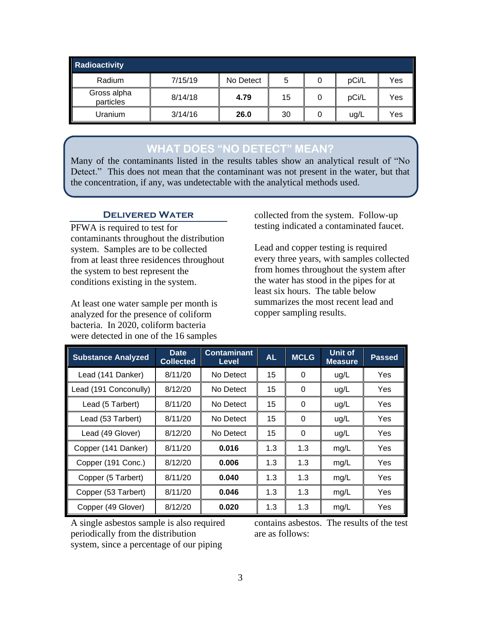| Radioactivity            |         |           |    |   |       |     |
|--------------------------|---------|-----------|----|---|-------|-----|
| Radium                   | 7/15/19 | No Detect | 5  |   | pCi/L | Yes |
| Gross alpha<br>particles | 8/14/18 | 4.79      | 15 | O | pCi/L | Yes |
| Uranium                  | 3/14/16 | 26.0      | 30 |   | ug/L  | Yes |

# **WHAT DOES "NO DETECT" MEAN?**

Many of the contaminants listed in the results tables show an analytical result of "No Detect." This does not mean that the contaminant was not present in the water, but that the concentration, if any, was undetectable with the analytical methods used.

# **Delivered Water**

PFWA is required to test for contaminants throughout the distribution system. Samples are to be collected from at least three residences throughout the system to best represent the conditions existing in the system.

At least one water sample per month is analyzed for the presence of coliform bacteria. In 2020, coliform bacteria were detected in one of the 16 samples

collected from the system. Follow-up testing indicated a contaminated faucet.

Lead and copper testing is required every three years, with samples collected from homes throughout the system after the water has stood in the pipes for at least six hours. The table below summarizes the most recent lead and copper sampling results.

| <b>Substance Analyzed</b> | <b>Date</b><br><b>Collected</b> | <b>Contaminant</b><br><b>Level</b> | <b>AL</b> | <b>MCLG</b> | Unit of<br><b>Measure</b> | <b>Passed</b> |
|---------------------------|---------------------------------|------------------------------------|-----------|-------------|---------------------------|---------------|
| Lead (141 Danker)         | 8/11/20                         | No Detect                          | 15        | 0           | ug/L                      | Yes           |
| Lead (191 Conconully)     | 8/12/20                         | No Detect                          | 15        | 0           | ug/L                      | Yes           |
| Lead (5 Tarbert)          | 8/11/20                         | No Detect                          | 15        | 0           | ug/L                      | Yes           |
| Lead (53 Tarbert)         | 8/11/20                         | No Detect                          | 15        | 0           | ug/L                      | Yes           |
| Lead (49 Glover)          | 8/12/20                         | No Detect                          | 15        | 0           | ug/L                      | Yes           |
| Copper (141 Danker)       | 8/11/20                         | 0.016                              | 1.3       | 1.3         | mg/L                      | Yes           |
| Copper (191 Conc.)        | 8/12/20                         | 0.006                              | 1.3       | 1.3         | mg/L                      | Yes           |
| Copper (5 Tarbert)        | 8/11/20                         | 0.040                              | 1.3       | 1.3         | mg/L                      | Yes           |
| Copper (53 Tarbert)       | 8/11/20                         | 0.046                              | 1.3       | 1.3         | mg/L                      | Yes           |
| Copper (49 Glover)        | 8/12/20                         | 0.020                              | 1.3       | 1.3         | mg/L                      | Yes           |

A single asbestos sample is also required periodically from the distribution system, since a percentage of our piping

contains asbestos. The results of the test are as follows: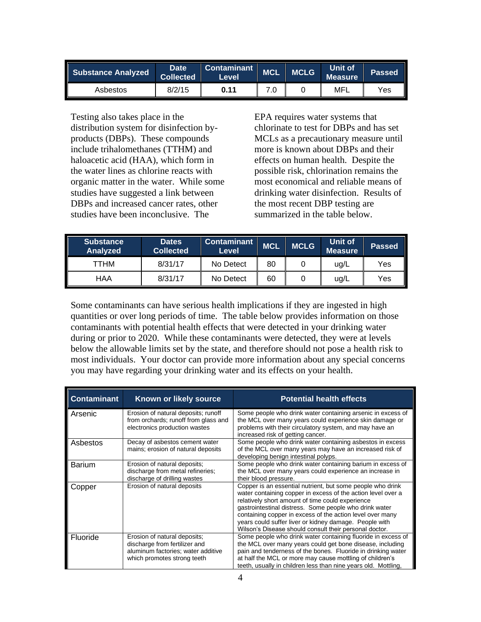| Substance Analyzed | <b>Date</b><br>Collected <sup>1</sup> | <b>Contaminant</b><br>Level | <b>MCL</b> | <b>MCLG</b> | Unit of<br>Measure' | <b>Passed</b> |
|--------------------|---------------------------------------|-----------------------------|------------|-------------|---------------------|---------------|
| Asbestos           | 8/2/15                                | 0.11                        |            |             | MFL                 | Yes           |

Testing also takes place in the distribution system for disinfection byproducts (DBPs). These compounds include trihalomethanes (TTHM) and haloacetic acid (HAA), which form in the water lines as chlorine reacts with organic matter in the water. While some studies have suggested a link between DBPs and increased cancer rates, other studies have been inconclusive. The

EPA requires water systems that chlorinate to test for DBPs and has set MCLs as a precautionary measure until more is known about DBPs and their effects on human health. Despite the possible risk, chlorination remains the most economical and reliable means of drinking water disinfection. Results of the most recent DBP testing are summarized in the table below.

| <b>Substance</b><br>Analyzed | <b>Dates</b><br><b>Collected</b> | <b>Contaminant</b><br>Level | <b>MCL</b> | <b>MCLG</b> | Unit of<br><b>Measure</b> | <b>Passed</b> |
|------------------------------|----------------------------------|-----------------------------|------------|-------------|---------------------------|---------------|
| ттнм                         | 8/31/17                          | No Detect                   | 80         |             | ug/L                      | Yes           |
| HAA                          | 8/31/17                          | No Detect                   | 60         |             | uq/L                      | Yes           |

Some contaminants can have serious health implications if they are ingested in high quantities or over long periods of time. The table below provides information on those contaminants with potential health effects that were detected in your drinking water during or prior to 2020. While these contaminants were detected, they were at levels below the allowable limits set by the state, and therefore should not pose a health risk to most individuals. Your doctor can provide more information about any special concerns you may have regarding your drinking water and its effects on your health.

| <b>Contaminant</b> | Known or likely source                                                                                                             | <b>Potential health effects</b>                                                                                                                                                                                                                                                                                                                                                                                           |
|--------------------|------------------------------------------------------------------------------------------------------------------------------------|---------------------------------------------------------------------------------------------------------------------------------------------------------------------------------------------------------------------------------------------------------------------------------------------------------------------------------------------------------------------------------------------------------------------------|
| Arsenic            | Erosion of natural deposits; runoff<br>from orchards; runoff from glass and<br>electronics production wastes                       | Some people who drink water containing arsenic in excess of<br>the MCL over many years could experience skin damage or<br>problems with their circulatory system, and may have an<br>increased risk of getting cancer.                                                                                                                                                                                                    |
| Asbestos           | Decay of asbestos cement water<br>mains; erosion of natural deposits                                                               | Some people who drink water containing asbestos in excess<br>of the MCL over many years may have an increased risk of<br>developing benign intestinal polyps.                                                                                                                                                                                                                                                             |
| <b>Barium</b>      | Erosion of natural deposits;<br>discharge from metal refineries;<br>discharge of drilling wastes                                   | Some people who drink water containing barium in excess of<br>the MCL over many years could experience an increase in<br>their blood pressure.                                                                                                                                                                                                                                                                            |
| Copper             | Erosion of natural deposits                                                                                                        | Copper is an essential nutrient, but some people who drink<br>water containing copper in excess of the action level over a<br>relatively short amount of time could experience<br>gastrointestinal distress. Some people who drink water<br>containing copper in excess of the action level over many<br>years could suffer liver or kidney damage. People with<br>Wilson's Disease should consult their personal doctor. |
| Fluoride           | Erosion of natural deposits;<br>discharge from fertilizer and<br>aluminum factories; water additive<br>which promotes strong teeth | Some people who drink water containing fluoride in excess of<br>the MCL over many years could get bone disease, including<br>pain and tenderness of the bones. Fluoride in drinking water<br>at half the MCL or more may cause mottling of children's<br>teeth, usually in children less than nine years old. Mottling,                                                                                                   |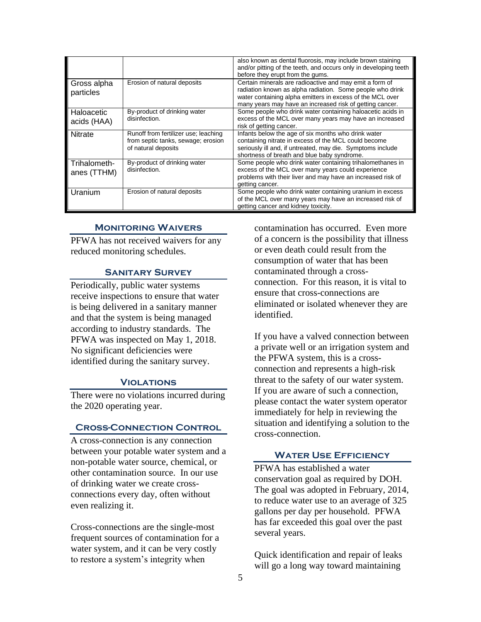|                             |                                                                                                   | also known as dental fluorosis, may include brown staining<br>and/or pitting of the teeth, and occurs only in developing teeth<br>before they erupt from the gums.                                                                            |
|-----------------------------|---------------------------------------------------------------------------------------------------|-----------------------------------------------------------------------------------------------------------------------------------------------------------------------------------------------------------------------------------------------|
| Gross alpha<br>particles    | Erosion of natural deposits                                                                       | Certain minerals are radioactive and may emit a form of<br>radiation known as alpha radiation. Some people who drink<br>water containing alpha emitters in excess of the MCL over<br>many years may have an increased risk of getting cancer. |
| Haloacetic<br>acids (HAA)   | By-product of drinking water<br>disinfection.                                                     | Some people who drink water containing haloacetic acids in<br>excess of the MCL over many years may have an increased<br>risk of getting cancer.                                                                                              |
| <b>Nitrate</b>              | Runoff from fertilizer use; leaching<br>from septic tanks, sewage; erosion<br>of natural deposits | Infants below the age of six months who drink water<br>containing nitrate in excess of the MCL could become<br>seriously ill and, if untreated, may die. Symptoms include<br>shortness of breath and blue baby syndrome.                      |
| Trihalometh-<br>anes (TTHM) | By-product of drinking water<br>disinfection.                                                     | Some people who drink water containing trihalomethanes in<br>excess of the MCL over many years could experience<br>problems with their liver and may have an increased risk of<br>getting cancer.                                             |
| Uranium                     | Erosion of natural deposits                                                                       | Some people who drink water containing uranium in excess<br>of the MCL over many years may have an increased risk of<br>getting cancer and kidney toxicity.                                                                                   |

#### **Monitoring Waivers**

PFWA has not received waivers for any reduced monitoring schedules.

#### **Sanitary Survey**

Periodically, public water systems receive inspections to ensure that water is being delivered in a sanitary manner and that the system is being managed according to industry standards. The PFWA was inspected on May 1, 2018. No significant deficiencies were identified during the sanitary survey.

#### **Violations**

There were no violations incurred during the 2020 operating year.

#### **Cross-Connection Control**

A cross-connection is any connection between your potable water system and a non-potable water source, chemical, or other contamination source. In our use of drinking water we create crossconnections every day, often without even realizing it.

Cross-connections are the single-most frequent sources of contamination for a water system, and it can be very costly to restore a system's integrity when

contamination has occurred. Even more of a concern is the possibility that illness or even death could result from the consumption of water that has been contaminated through a crossconnection. For this reason, it is vital to ensure that cross-connections are eliminated or isolated whenever they are identified.

If you have a valved connection between a private well or an irrigation system and the PFWA system, this is a crossconnection and represents a high-risk threat to the safety of our water system. If you are aware of such a connection, please contact the water system operator immediately for help in reviewing the situation and identifying a solution to the cross-connection.

## **Water Use Efficiency**

PFWA has established a water conservation goal as required by DOH. The goal was adopted in February, 2014, to reduce water use to an average of 325 gallons per day per household. PFWA has far exceeded this goal over the past several years.

Quick identification and repair of leaks will go a long way toward maintaining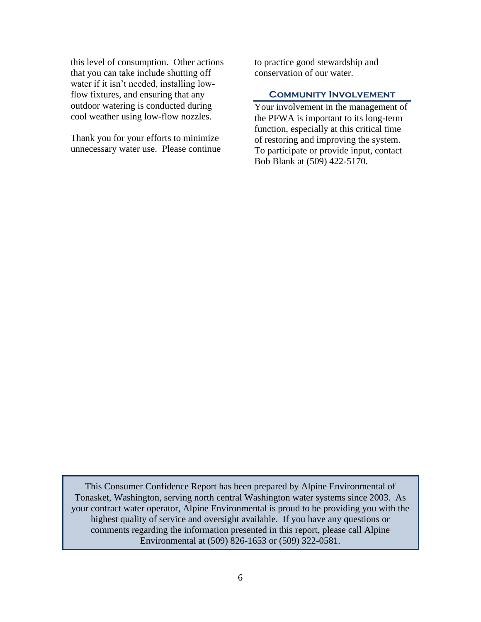this level of consumption. Other actions that you can take include shutting off water if it isn't needed, installing lowflow fixtures, and ensuring that any outdoor watering is conducted during cool weather using low-flow nozzles.

Thank you for your efforts to minimize unnecessary water use. Please continue to practice good stewardship and conservation of our water.

#### **Community Involvement**

Your involvement in the management of the PFWA is important to its long-term function, especially at this critical time of restoring and improving the system. To participate or provide input, contact Bob Blank at (509) 422-5170.

This Consumer Confidence Report has been prepared by Alpine Environmental of Tonasket, Washington, serving north central Washington water systems since 2003. As your contract water operator, Alpine Environmental is proud to be providing you with the highest quality of service and oversight available. If you have any questions or comments regarding the information presented in this report, please call Alpine Environmental at (509) 826-1653 or (509) 322-0581.